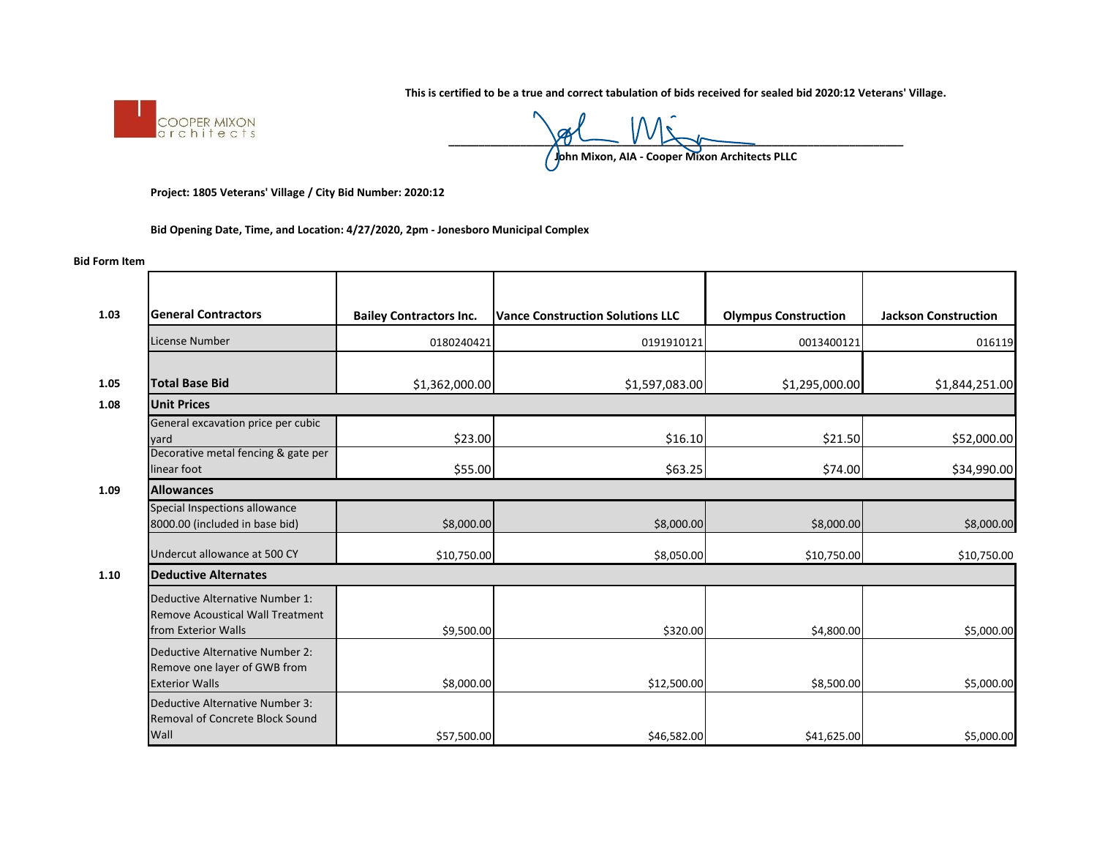**This is certified to be a true and correct tabulation of bids received for sealed bid 2020:12 Veterans' Village.** 



 $\underline{y_0 \cup \cdots \vee y_{n-1}}$ 

**John Mixon, AIA - Cooper Mixon Architects PLLC**

**Project: 1805 Veterans' Village / City Bid Number: 2020:12**

**Bid Opening Date, Time, and Location: 4/27/2020, 2pm - Jonesboro Municipal Complex**

## **Bid Form Item**

| 1.03   | <b>General Contractors</b>                                                                        | <b>Bailey Contractors Inc.</b> | <b>Vance Construction Solutions LLC</b> | <b>Olympus Construction</b> | <b>Jackson Construction</b> |  |  |
|--------|---------------------------------------------------------------------------------------------------|--------------------------------|-----------------------------------------|-----------------------------|-----------------------------|--|--|
|        | License Number                                                                                    | 0180240421                     | 0191910121                              | 0013400121                  | 016119                      |  |  |
|        |                                                                                                   |                                |                                         |                             |                             |  |  |
| 1.05   | <b>Total Base Bid</b>                                                                             | \$1,362,000.00                 | \$1,597,083.00                          | \$1,295,000.00              | \$1,844,251.00              |  |  |
| 1.08   | <b>Unit Prices</b>                                                                                |                                |                                         |                             |                             |  |  |
|        | General excavation price per cubic<br>yard                                                        | \$23.00                        | \$16.10                                 | \$21.50                     | \$52,000.00                 |  |  |
|        | Decorative metal fencing & gate per<br>linear foot                                                | \$55.00                        | \$63.25                                 | \$74.00                     | \$34,990.00                 |  |  |
| 1.09   | <b>Allowances</b>                                                                                 |                                |                                         |                             |                             |  |  |
|        | Special Inspections allowance<br>8000.00 (included in base bid)                                   | \$8,000.00                     | \$8,000.00                              | \$8,000.00                  | \$8,000.00                  |  |  |
|        | Undercut allowance at 500 CY                                                                      | \$10,750.00                    | \$8,050.00                              | \$10,750.00                 | \$10,750.00                 |  |  |
| $1.10$ | <b>Deductive Alternates</b>                                                                       |                                |                                         |                             |                             |  |  |
|        | Deductive Alternative Number 1:<br><b>Remove Acoustical Wall Treatment</b><br>from Exterior Walls | \$9,500.00                     | \$320.00                                | \$4,800.00                  | \$5,000.00                  |  |  |
|        | Deductive Alternative Number 2:<br>Remove one layer of GWB from<br><b>Exterior Walls</b>          | \$8,000.00                     | \$12,500.00                             | \$8,500.00                  | \$5,000.00                  |  |  |
|        | Deductive Alternative Number 3:<br><b>Removal of Concrete Block Sound</b><br>Wall                 | \$57,500.00                    | \$46,582.00                             | \$41,625.00                 | \$5,000.00                  |  |  |